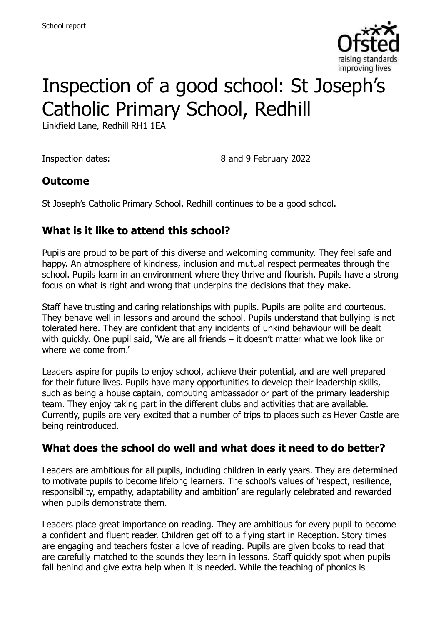

# Inspection of a good school: St Joseph's Catholic Primary School, Redhill

Linkfield Lane, Redhill RH1 1EA

Inspection dates: 8 and 9 February 2022

#### **Outcome**

St Joseph's Catholic Primary School, Redhill continues to be a good school.

### **What is it like to attend this school?**

Pupils are proud to be part of this diverse and welcoming community. They feel safe and happy. An atmosphere of kindness, inclusion and mutual respect permeates through the school. Pupils learn in an environment where they thrive and flourish. Pupils have a strong focus on what is right and wrong that underpins the decisions that they make.

Staff have trusting and caring relationships with pupils. Pupils are polite and courteous. They behave well in lessons and around the school. Pupils understand that bullying is not tolerated here. They are confident that any incidents of unkind behaviour will be dealt with quickly. One pupil said, 'We are all friends – it doesn't matter what we look like or where we come from.'

Leaders aspire for pupils to enjoy school, achieve their potential, and are well prepared for their future lives. Pupils have many opportunities to develop their leadership skills, such as being a house captain, computing ambassador or part of the primary leadership team. They enjoy taking part in the different clubs and activities that are available. Currently, pupils are very excited that a number of trips to places such as Hever Castle are being reintroduced.

#### **What does the school do well and what does it need to do better?**

Leaders are ambitious for all pupils, including children in early years. They are determined to motivate pupils to become lifelong learners. The school's values of 'respect, resilience, responsibility, empathy, adaptability and ambition' are regularly celebrated and rewarded when pupils demonstrate them.

Leaders place great importance on reading. They are ambitious for every pupil to become a confident and fluent reader. Children get off to a flying start in Reception. Story times are engaging and teachers foster a love of reading. Pupils are given books to read that are carefully matched to the sounds they learn in lessons. Staff quickly spot when pupils fall behind and give extra help when it is needed. While the teaching of phonics is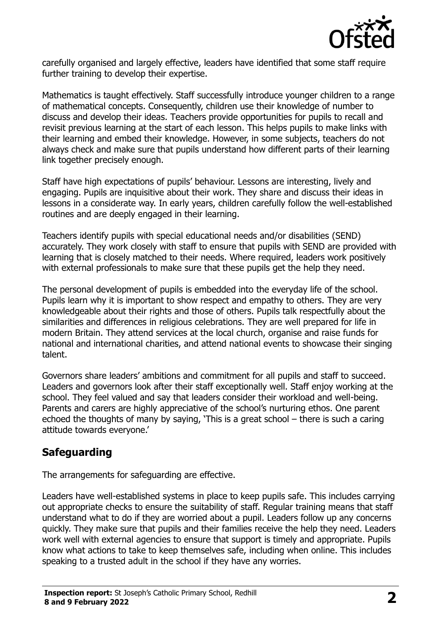

carefully organised and largely effective, leaders have identified that some staff require further training to develop their expertise.

Mathematics is taught effectively. Staff successfully introduce younger children to a range of mathematical concepts. Consequently, children use their knowledge of number to discuss and develop their ideas. Teachers provide opportunities for pupils to recall and revisit previous learning at the start of each lesson. This helps pupils to make links with their learning and embed their knowledge. However, in some subjects, teachers do not always check and make sure that pupils understand how different parts of their learning link together precisely enough.

Staff have high expectations of pupils' behaviour. Lessons are interesting, lively and engaging. Pupils are inquisitive about their work. They share and discuss their ideas in lessons in a considerate way. In early years, children carefully follow the well-established routines and are deeply engaged in their learning.

Teachers identify pupils with special educational needs and/or disabilities (SEND) accurately. They work closely with staff to ensure that pupils with SEND are provided with learning that is closely matched to their needs. Where required, leaders work positively with external professionals to make sure that these pupils get the help they need.

The personal development of pupils is embedded into the everyday life of the school. Pupils learn why it is important to show respect and empathy to others. They are very knowledgeable about their rights and those of others. Pupils talk respectfully about the similarities and differences in religious celebrations. They are well prepared for life in modern Britain. They attend services at the local church, organise and raise funds for national and international charities, and attend national events to showcase their singing talent.

Governors share leaders' ambitions and commitment for all pupils and staff to succeed. Leaders and governors look after their staff exceptionally well. Staff enjoy working at the school. They feel valued and say that leaders consider their workload and well-being. Parents and carers are highly appreciative of the school's nurturing ethos. One parent echoed the thoughts of many by saying, 'This is a great school – there is such a caring attitude towards everyone.'

# **Safeguarding**

The arrangements for safeguarding are effective.

Leaders have well-established systems in place to keep pupils safe. This includes carrying out appropriate checks to ensure the suitability of staff. Regular training means that staff understand what to do if they are worried about a pupil. Leaders follow up any concerns quickly. They make sure that pupils and their families receive the help they need. Leaders work well with external agencies to ensure that support is timely and appropriate. Pupils know what actions to take to keep themselves safe, including when online. This includes speaking to a trusted adult in the school if they have any worries.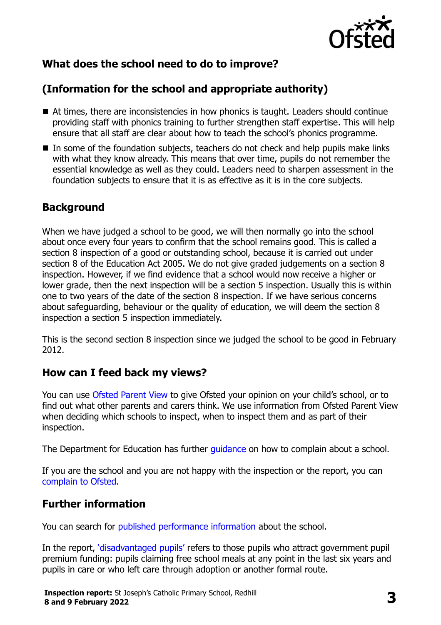

# **What does the school need to do to improve?**

# **(Information for the school and appropriate authority)**

- At times, there are inconsistencies in how phonics is taught. Leaders should continue providing staff with phonics training to further strengthen staff expertise. This will help ensure that all staff are clear about how to teach the school's phonics programme.
- In some of the foundation subjects, teachers do not check and help pupils make links with what they know already. This means that over time, pupils do not remember the essential knowledge as well as they could. Leaders need to sharpen assessment in the foundation subjects to ensure that it is as effective as it is in the core subjects.

### **Background**

When we have judged a school to be good, we will then normally go into the school about once every four years to confirm that the school remains good. This is called a section 8 inspection of a good or outstanding school, because it is carried out under section 8 of the Education Act 2005. We do not give graded judgements on a section 8 inspection. However, if we find evidence that a school would now receive a higher or lower grade, then the next inspection will be a section 5 inspection. Usually this is within one to two years of the date of the section 8 inspection. If we have serious concerns about safeguarding, behaviour or the quality of education, we will deem the section 8 inspection a section 5 inspection immediately.

This is the second section 8 inspection since we judged the school to be good in February 2012.

#### **How can I feed back my views?**

You can use [Ofsted Parent View](https://parentview.ofsted.gov.uk/) to give Ofsted your opinion on your child's school, or to find out what other parents and carers think. We use information from Ofsted Parent View when deciding which schools to inspect, when to inspect them and as part of their inspection.

The Department for Education has further quidance on how to complain about a school.

If you are the school and you are not happy with the inspection or the report, you can [complain to Ofsted.](https://www.gov.uk/complain-ofsted-report)

# **Further information**

You can search for [published performance information](http://www.compare-school-performance.service.gov.uk/) about the school.

In the report, '[disadvantaged pupils](http://www.gov.uk/guidance/pupil-premium-information-for-schools-and-alternative-provision-settings)' refers to those pupils who attract government pupil premium funding: pupils claiming free school meals at any point in the last six years and pupils in care or who left care through adoption or another formal route.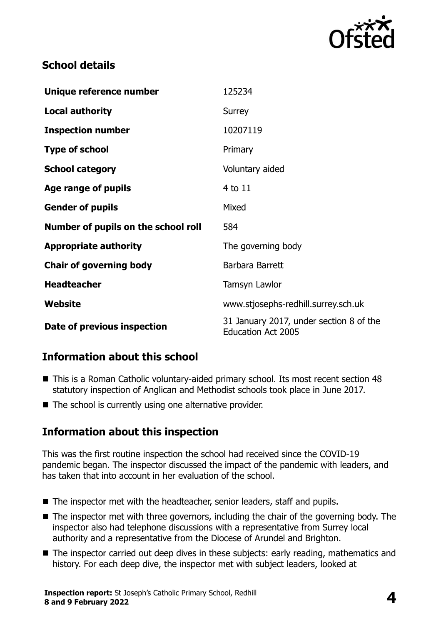

### **School details**

| Unique reference number             | 125234                                                               |
|-------------------------------------|----------------------------------------------------------------------|
| <b>Local authority</b>              | Surrey                                                               |
| <b>Inspection number</b>            | 10207119                                                             |
| <b>Type of school</b>               | Primary                                                              |
| <b>School category</b>              | Voluntary aided                                                      |
| Age range of pupils                 | $4$ to $11$                                                          |
| <b>Gender of pupils</b>             | Mixed                                                                |
| Number of pupils on the school roll | 584                                                                  |
| <b>Appropriate authority</b>        | The governing body                                                   |
| <b>Chair of governing body</b>      | Barbara Barrett                                                      |
| <b>Headteacher</b>                  | Tamsyn Lawlor                                                        |
| Website                             | www.stjosephs-redhill.surrey.sch.uk                                  |
| Date of previous inspection         | 31 January 2017, under section 8 of the<br><b>Education Act 2005</b> |

#### **Information about this school**

- This is a Roman Catholic voluntary-aided primary school. Its most recent section 48 statutory inspection of Anglican and Methodist schools took place in June 2017.
- The school is currently using one alternative provider.

#### **Information about this inspection**

This was the first routine inspection the school had received since the COVID-19 pandemic began. The inspector discussed the impact of the pandemic with leaders, and has taken that into account in her evaluation of the school.

- The inspector met with the headteacher, senior leaders, staff and pupils.
- The inspector met with three governors, including the chair of the governing body. The inspector also had telephone discussions with a representative from Surrey local authority and a representative from the Diocese of Arundel and Brighton.
- The inspector carried out deep dives in these subjects: early reading, mathematics and history. For each deep dive, the inspector met with subject leaders, looked at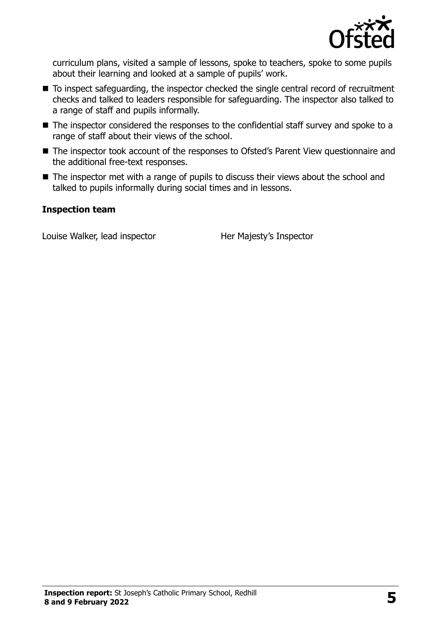

curriculum plans, visited a sample of lessons, spoke to teachers, spoke to some pupils about their learning and looked at a sample of pupils' work.

- To inspect safeguarding, the inspector checked the single central record of recruitment checks and talked to leaders responsible for safeguarding. The inspector also talked to a range of staff and pupils informally.
- The inspector considered the responses to the confidential staff survey and spoke to a range of staff about their views of the school.
- The inspector took account of the responses to Ofsted's Parent View questionnaire and the additional free-text responses.
- The inspector met with a range of pupils to discuss their views about the school and talked to pupils informally during social times and in lessons.

#### **Inspection team**

Louise Walker, lead inspector **Her Majesty's Inspector**